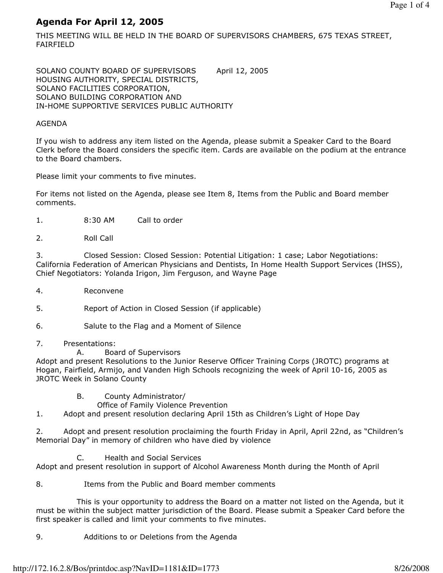# Agenda For April 12, 2005

THIS MEETING WILL BE HELD IN THE BOARD OF SUPERVISORS CHAMBERS, 675 TEXAS STREET, FAIRFIELD

SOLANO COUNTY BOARD OF SUPERVISORS April 12, 2005 HOUSING AUTHORITY, SPECIAL DISTRICTS, SOLANO FACILITIES CORPORATION, SOLANO BUILDING CORPORATION AND IN-HOME SUPPORTIVE SERVICES PUBLIC AUTHORITY

#### AGENDA

If you wish to address any item listed on the Agenda, please submit a Speaker Card to the Board Clerk before the Board considers the specific item. Cards are available on the podium at the entrance to the Board chambers.

Please limit your comments to five minutes.

For items not listed on the Agenda, please see Item 8, Items from the Public and Board member comments.

- 1. 8:30 AM Call to order
- 2. Roll Call

3. Closed Session: Closed Session: Potential Litigation: 1 case; Labor Negotiations: California Federation of American Physicians and Dentists, In Home Health Support Services (IHSS), Chief Negotiators: Yolanda Irigon, Jim Ferguson, and Wayne Page

- 4. Reconvene
- 5. Report of Action in Closed Session (if applicable)
- 6. Salute to the Flag and a Moment of Silence
- 7. Presentations:
	- A. Board of Supervisors

Adopt and present Resolutions to the Junior Reserve Officer Training Corps (JROTC) programs at Hogan, Fairfield, Armijo, and Vanden High Schools recognizing the week of April 10-16, 2005 as JROTC Week in Solano County

- B. County Administrator/
	- Office of Family Violence Prevention

1. Adopt and present resolution declaring April 15th as Children's Light of Hope Day

2. Adopt and present resolution proclaiming the fourth Friday in April, April 22nd, as "Children's Memorial Day" in memory of children who have died by violence

C. Health and Social Services

Adopt and present resolution in support of Alcohol Awareness Month during the Month of April

8. Items from the Public and Board member comments

 This is your opportunity to address the Board on a matter not listed on the Agenda, but it must be within the subject matter jurisdiction of the Board. Please submit a Speaker Card before the first speaker is called and limit your comments to five minutes.

9. Additions to or Deletions from the Agenda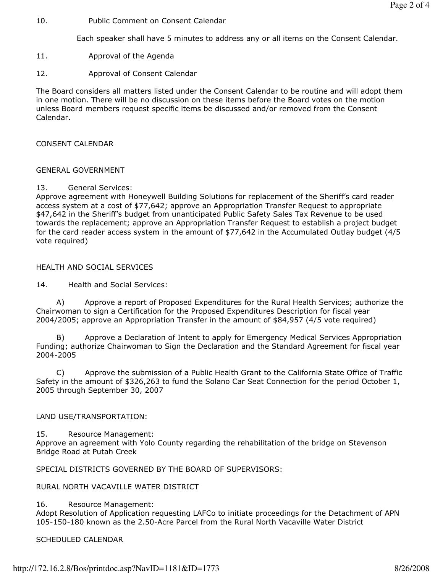10. Public Comment on Consent Calendar

Each speaker shall have 5 minutes to address any or all items on the Consent Calendar.

- 11. Approval of the Agenda
- 12. Approval of Consent Calendar

The Board considers all matters listed under the Consent Calendar to be routine and will adopt them in one motion. There will be no discussion on these items before the Board votes on the motion unless Board members request specific items be discussed and/or removed from the Consent Calendar.

#### CONSENT CALENDAR

#### GENERAL GOVERNMENT

#### 13. General Services:

Approve agreement with Honeywell Building Solutions for replacement of the Sheriff's card reader access system at a cost of \$77,642; approve an Appropriation Transfer Request to appropriate \$47,642 in the Sheriff's budget from unanticipated Public Safety Sales Tax Revenue to be used towards the replacement; approve an Appropriation Transfer Request to establish a project budget for the card reader access system in the amount of \$77,642 in the Accumulated Outlay budget (4/5 vote required)

#### HEALTH AND SOCIAL SERVICES

14. Health and Social Services:

 A) Approve a report of Proposed Expenditures for the Rural Health Services; authorize the Chairwoman to sign a Certification for the Proposed Expenditures Description for fiscal year 2004/2005; approve an Appropriation Transfer in the amount of \$84,957 (4/5 vote required)

 B) Approve a Declaration of Intent to apply for Emergency Medical Services Appropriation Funding; authorize Chairwoman to Sign the Declaration and the Standard Agreement for fiscal year 2004-2005

 C) Approve the submission of a Public Health Grant to the California State Office of Traffic Safety in the amount of \$326,263 to fund the Solano Car Seat Connection for the period October 1, 2005 through September 30, 2007

#### LAND USE/TRANSPORTATION:

15. Resource Management:

Approve an agreement with Yolo County regarding the rehabilitation of the bridge on Stevenson Bridge Road at Putah Creek

SPECIAL DISTRICTS GOVERNED BY THE BOARD OF SUPERVISORS:

RURAL NORTH VACAVILLE WATER DISTRICT

#### 16. Resource Management:

Adopt Resolution of Application requesting LAFCo to initiate proceedings for the Detachment of APN 105-150-180 known as the 2.50-Acre Parcel from the Rural North Vacaville Water District

SCHEDULED CALENDAR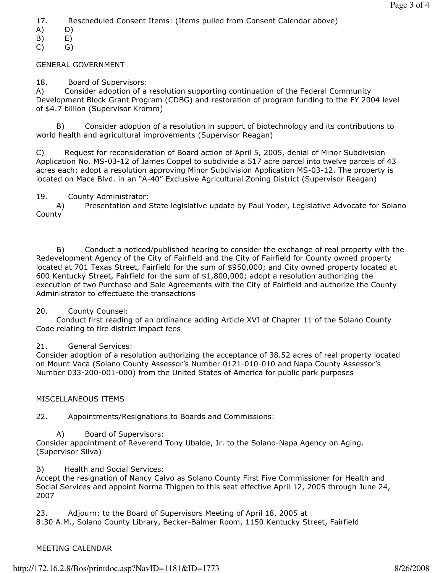17. Rescheduled Consent Items: (Items pulled from Consent Calendar above)

- A) D)
- B) E)
- C) G)

### GENERAL GOVERNMENT

### 18. Board of Supervisors:

A) Consider adoption of a resolution supporting continuation of the Federal Community Development Block Grant Program (CDBG) and restoration of program funding to the FY 2004 level of \$4.7 billion (Supervisor Kromm)

 B) Consider adoption of a resolution in support of biotechnology and its contributions to world health and agricultural improvements (Supervisor Reagan)

C) Request for reconsideration of Board action of April 5, 2005, denial of Minor Subdivision Application No. MS-03-12 of James Coppel to subdivide a 517 acre parcel into twelve parcels of 43 acres each; adopt a resolution approving Minor Subdivision Application MS-03-12. The property is located on Mace Blvd. in an "A-40" Exclusive Agricultural Zoning District (Supervisor Reagan)

### 19. County Administrator:

 A) Presentation and State legislative update by Paul Yoder, Legislative Advocate for Solano County

 B) Conduct a noticed/published hearing to consider the exchange of real property with the Redevelopment Agency of the City of Fairfield and the City of Fairfield for County owned property located at 701 Texas Street, Fairfield for the sum of \$950,000; and City owned property located at 600 Kentucky Street, Fairfield for the sum of \$1,800,000; adopt a resolution authorizing the execution of two Purchase and Sale Agreements with the City of Fairfield and authorize the County Administrator to effectuate the transactions

### 20. County Counsel:

 Conduct first reading of an ordinance adding Article XVI of Chapter 11 of the Solano County Code relating to fire district impact fees

### 21. General Services:

Consider adoption of a resolution authorizing the acceptance of 38.52 acres of real property located on Mount Vaca (Solano County Assessor's Number 0121-010-010 and Napa County Assessor's Number 033-200-001-000) from the United States of America for public park purposes

### MISCELLANEOUS ITEMS

22. Appointments/Resignations to Boards and Commissions:

A) Board of Supervisors:

Consider appointment of Reverend Tony Ubalde, Jr. to the Solano-Napa Agency on Aging. (Supervisor Silva)

B) Health and Social Services:

Accept the resignation of Nancy Calvo as Solano County First Five Commissioner for Health and Social Services and appoint Norma Thigpen to this seat effective April 12, 2005 through June 24, 2007

23. Adjourn: to the Board of Supervisors Meeting of April 18, 2005 at 8:30 A.M., Solano County Library, Becker-Balmer Room, 1150 Kentucky Street, Fairfield

## MEETING CALENDAR

http://172.16.2.8/Bos/printdoc.asp?NavID=1181&ID=1773 8/26/2008